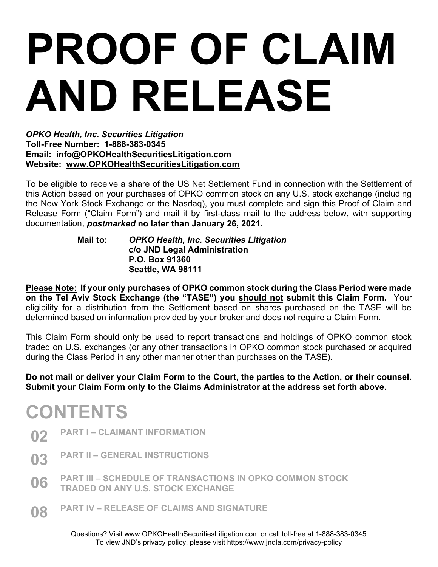# PROOF OF CLAIM AND RELEASE

OPKO Health, Inc. Securities Litigation Toll-Free Number: 1-888-383-0345 Email: info@OPKOHealthSecuritiesLitigation.com Website: www.OPKOHealthSecuritiesLitigation.com

To be eligible to receive a share of the US Net Settlement Fund in connection with the Settlement of this Action based on your purchases of OPKO common stock on any U.S. stock exchange (including the New York Stock Exchange or the Nasdaq), you must complete and sign this Proof of Claim and Release Form ("Claim Form") and mail it by first-class mail to the address below, with supporting documentation, postmarked no later than January 26, 2021.

### Mail to: OPKO Health, Inc. Securities Litigation c/o JND Legal Administration P.O. Box 91360 Seattle, WA 98111

Please Note: If your only purchases of OPKO common stock during the Class Period were made on the Tel Aviv Stock Exchange (the "TASE") you should not submit this Claim Form. Your eligibility for a distribution from the Settlement based on shares purchased on the TASE will be determined based on information provided by your broker and does not require a Claim Form.

This Claim Form should only be used to report transactions and holdings of OPKO common stock traded on U.S. exchanges (or any other transactions in OPKO common stock purchased or acquired during the Class Period in any other manner other than purchases on the TASE).

Do not mail or deliver your Claim Form to the Court, the parties to the Action, or their counsel. Submit your Claim Form only to the Claims Administrator at the address set forth above.

# **CONTENTS**

- 02 PART I CLAIMANT INFORMATION
- 03 PART II GENERAL INSTRUCTIONS
- 06 PART III SCHEDULE OF TRANSACTIONS IN OPKO COMMON STOCK TRADED ON ANY U.S. STOCK EXCHANGE
- **08** PART IV RELEASE OF CLAIMS AND SIGNATURE

Questions? Visit www.OPKOHealthSecuritiesLitigation.com or call toll-free at 1-888-383-0345 To view JND's privacy policy, please visit https://www.jndla.com/privacy-policy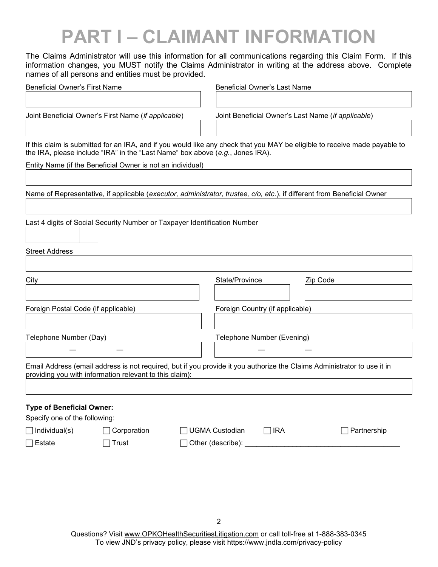# PART I – CLAIMANT INFORMATION

The Claims Administrator will use this information for all communications regarding this Claim Form. If this information changes, you MUST notify the Claims Administrator in writing at the address above. Complete names of all persons and entities must be provided.

| <b>Beneficial Owner's First Name</b> |                                                                                 |  | <b>Beneficial Owner's Last Name</b> |            |                                                                                                                            |  |
|--------------------------------------|---------------------------------------------------------------------------------|--|-------------------------------------|------------|----------------------------------------------------------------------------------------------------------------------------|--|
|                                      |                                                                                 |  |                                     |            |                                                                                                                            |  |
|                                      | Joint Beneficial Owner's First Name (if applicable)                             |  |                                     |            | Joint Beneficial Owner's Last Name (if applicable)                                                                         |  |
|                                      | the IRA, please include "IRA" in the "Last Name" box above $(e.g.,$ Jones IRA). |  |                                     |            | If this claim is submitted for an IRA, and if you would like any check that you MAY be eligible to receive made payable to |  |
|                                      | Entity Name (if the Beneficial Owner is not an individual)                      |  |                                     |            |                                                                                                                            |  |
|                                      |                                                                                 |  |                                     |            |                                                                                                                            |  |
|                                      |                                                                                 |  |                                     |            | Name of Representative, if applicable (executor, administrator, trustee, c/o, etc.), if different from Beneficial Owner    |  |
|                                      |                                                                                 |  |                                     |            |                                                                                                                            |  |
|                                      | Last 4 digits of Social Security Number or Taxpayer Identification Number       |  |                                     |            |                                                                                                                            |  |
| <b>Street Address</b>                |                                                                                 |  |                                     |            |                                                                                                                            |  |
|                                      |                                                                                 |  |                                     |            |                                                                                                                            |  |
| City                                 |                                                                                 |  | State/Province                      |            | Zip Code                                                                                                                   |  |
| Foreign Postal Code (if applicable)  |                                                                                 |  | Foreign Country (if applicable)     |            |                                                                                                                            |  |
| Telephone Number (Day)               |                                                                                 |  | Telephone Number (Evening)          |            |                                                                                                                            |  |
|                                      |                                                                                 |  |                                     |            |                                                                                                                            |  |
|                                      | providing you with information relevant to this claim):                         |  |                                     |            | Email Address (email address is not required, but if you provide it you authorize the Claims Administrator to use it in    |  |
| <b>Type of Beneficial Owner:</b>     |                                                                                 |  |                                     |            |                                                                                                                            |  |
| Specify one of the following:        |                                                                                 |  |                                     |            |                                                                                                                            |  |
| $\Box$ Individual(s)                 | Corporation                                                                     |  | <b>UGMA Custodian</b>               | $\Box$ IRA | Partnership                                                                                                                |  |
| $\Box$ Estate                        | Trust                                                                           |  |                                     |            |                                                                                                                            |  |
|                                      |                                                                                 |  |                                     |            |                                                                                                                            |  |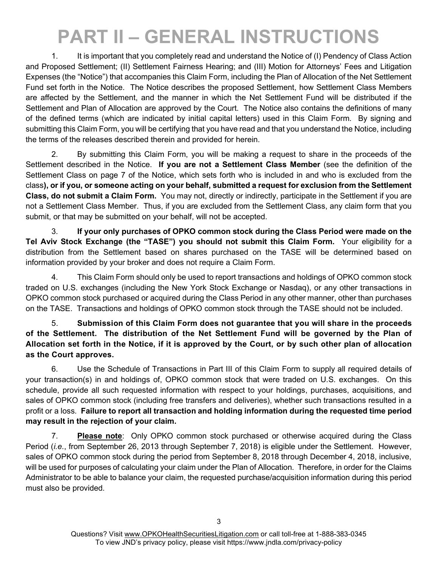# PART II – GENERAL INSTRUCTIONS

1. It is important that you completely read and understand the Notice of (I) Pendency of Class Action and Proposed Settlement; (II) Settlement Fairness Hearing; and (III) Motion for Attorneys' Fees and Litigation Expenses (the "Notice") that accompanies this Claim Form, including the Plan of Allocation of the Net Settlement Fund set forth in the Notice. The Notice describes the proposed Settlement, how Settlement Class Members are affected by the Settlement, and the manner in which the Net Settlement Fund will be distributed if the Settlement and Plan of Allocation are approved by the Court. The Notice also contains the definitions of many of the defined terms (which are indicated by initial capital letters) used in this Claim Form. By signing and submitting this Claim Form, you will be certifying that you have read and that you understand the Notice, including the terms of the releases described therein and provided for herein.

2. By submitting this Claim Form, you will be making a request to share in the proceeds of the Settlement described in the Notice. If you are not a Settlement Class Member (see the definition of the Settlement Class on page 7 of the Notice, which sets forth who is included in and who is excluded from the class), or if you, or someone acting on your behalf, submitted a request for exclusion from the Settlement Class, do not submit a Claim Form. You may not, directly or indirectly, participate in the Settlement if you are not a Settlement Class Member. Thus, if you are excluded from the Settlement Class, any claim form that you submit, or that may be submitted on your behalf, will not be accepted.

3. If your only purchases of OPKO common stock during the Class Period were made on the Tel Aviv Stock Exchange (the "TASE") you should not submit this Claim Form. Your eligibility for a distribution from the Settlement based on shares purchased on the TASE will be determined based on information provided by your broker and does not require a Claim Form.

4. This Claim Form should only be used to report transactions and holdings of OPKO common stock traded on U.S. exchanges (including the New York Stock Exchange or Nasdaq), or any other transactions in OPKO common stock purchased or acquired during the Class Period in any other manner, other than purchases on the TASE. Transactions and holdings of OPKO common stock through the TASE should not be included.

5. Submission of this Claim Form does not guarantee that you will share in the proceeds of the Settlement. The distribution of the Net Settlement Fund will be governed by the Plan of Allocation set forth in the Notice, if it is approved by the Court, or by such other plan of allocation as the Court approves.

6. Use the Schedule of Transactions in Part III of this Claim Form to supply all required details of your transaction(s) in and holdings of, OPKO common stock that were traded on U.S. exchanges. On this schedule, provide all such requested information with respect to your holdings, purchases, acquisitions, and sales of OPKO common stock (including free transfers and deliveries), whether such transactions resulted in a profit or a loss. Failure to report all transaction and holding information during the requested time period may result in the rejection of your claim.

7. Please note: Only OPKO common stock purchased or otherwise acquired during the Class Period (i.e., from September 26, 2013 through September 7, 2018) is eligible under the Settlement. However, sales of OPKO common stock during the period from September 8, 2018 through December 4, 2018, inclusive, will be used for purposes of calculating your claim under the Plan of Allocation. Therefore, in order for the Claims Administrator to be able to balance your claim, the requested purchase/acquisition information during this period must also be provided.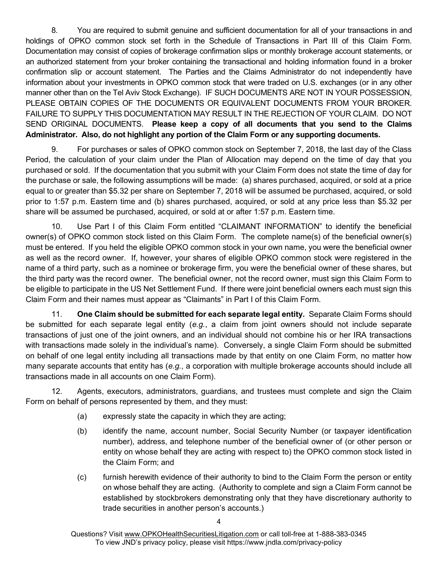8. You are required to submit genuine and sufficient documentation for all of your transactions in and holdings of OPKO common stock set forth in the Schedule of Transactions in Part III of this Claim Form. Documentation may consist of copies of brokerage confirmation slips or monthly brokerage account statements, or an authorized statement from your broker containing the transactional and holding information found in a broker confirmation slip or account statement. The Parties and the Claims Administrator do not independently have information about your investments in OPKO common stock that were traded on U.S. exchanges (or in any other manner other than on the Tel Aviv Stock Exchange). IF SUCH DOCUMENTS ARE NOT IN YOUR POSSESSION, PLEASE OBTAIN COPIES OF THE DOCUMENTS OR EQUIVALENT DOCUMENTS FROM YOUR BROKER. FAILURE TO SUPPLY THIS DOCUMENTATION MAY RESULT IN THE REJECTION OF YOUR CLAIM. DO NOT SEND ORIGINAL DOCUMENTS. Please keep a copy of all documents that you send to the Claims Administrator. Also, do not highlight any portion of the Claim Form or any supporting documents.

9. For purchases or sales of OPKO common stock on September 7, 2018, the last day of the Class Period, the calculation of your claim under the Plan of Allocation may depend on the time of day that you purchased or sold. If the documentation that you submit with your Claim Form does not state the time of day for the purchase or sale, the following assumptions will be made: (a) shares purchased, acquired, or sold at a price equal to or greater than \$5.32 per share on September 7, 2018 will be assumed be purchased, acquired, or sold prior to 1:57 p.m. Eastern time and (b) shares purchased, acquired, or sold at any price less than \$5.32 per share will be assumed be purchased, acquired, or sold at or after 1:57 p.m. Eastern time.

10. Use Part I of this Claim Form entitled "CLAIMANT INFORMATION" to identify the beneficial owner(s) of OPKO common stock listed on this Claim Form. The complete name(s) of the beneficial owner(s) must be entered. If you held the eligible OPKO common stock in your own name, you were the beneficial owner as well as the record owner. If, however, your shares of eligible OPKO common stock were registered in the name of a third party, such as a nominee or brokerage firm, you were the beneficial owner of these shares, but the third party was the record owner. The beneficial owner, not the record owner, must sign this Claim Form to be eligible to participate in the US Net Settlement Fund. If there were joint beneficial owners each must sign this Claim Form and their names must appear as "Claimants" in Part I of this Claim Form.

11. One Claim should be submitted for each separate legal entity. Separate Claim Forms should be submitted for each separate legal entity (e.g., a claim from joint owners should not include separate transactions of just one of the joint owners, and an individual should not combine his or her IRA transactions with transactions made solely in the individual's name). Conversely, a single Claim Form should be submitted on behalf of one legal entity including all transactions made by that entity on one Claim Form, no matter how many separate accounts that entity has (e.g., a corporation with multiple brokerage accounts should include all transactions made in all accounts on one Claim Form).

12. Agents, executors, administrators, guardians, and trustees must complete and sign the Claim Form on behalf of persons represented by them, and they must:

- (a) expressly state the capacity in which they are acting;
- (b) identify the name, account number, Social Security Number (or taxpayer identification number), address, and telephone number of the beneficial owner of (or other person or entity on whose behalf they are acting with respect to) the OPKO common stock listed in the Claim Form; and
- (c) furnish herewith evidence of their authority to bind to the Claim Form the person or entity on whose behalf they are acting. (Authority to complete and sign a Claim Form cannot be established by stockbrokers demonstrating only that they have discretionary authority to trade securities in another person's accounts.)

Questions? Visit www.OPKOHealthSecuritiesLitigation.com or call toll-free at 1-888-383-0345 To view JND's privacy policy, please visit https://www.jndla.com/privacy-policy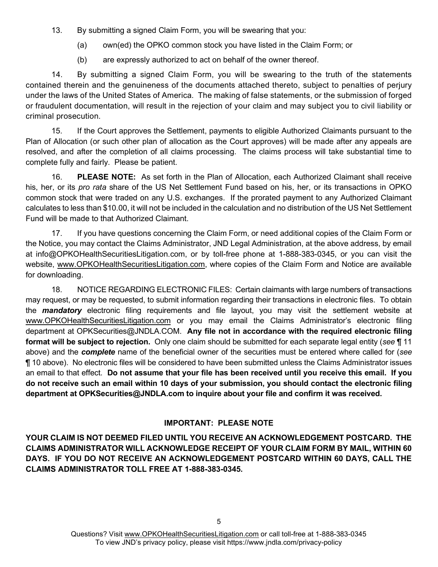13. By submitting a signed Claim Form, you will be swearing that you:

- (a) own(ed) the OPKO common stock you have listed in the Claim Form; or
- (b) are expressly authorized to act on behalf of the owner thereof.

14. By submitting a signed Claim Form, you will be swearing to the truth of the statements contained therein and the genuineness of the documents attached thereto, subject to penalties of perjury under the laws of the United States of America. The making of false statements, or the submission of forged or fraudulent documentation, will result in the rejection of your claim and may subject you to civil liability or criminal prosecution.

15. If the Court approves the Settlement, payments to eligible Authorized Claimants pursuant to the Plan of Allocation (or such other plan of allocation as the Court approves) will be made after any appeals are resolved, and after the completion of all claims processing. The claims process will take substantial time to complete fully and fairly. Please be patient.

16. PLEASE NOTE: As set forth in the Plan of Allocation, each Authorized Claimant shall receive his, her, or its pro rata share of the US Net Settlement Fund based on his, her, or its transactions in OPKO common stock that were traded on any U.S. exchanges. If the prorated payment to any Authorized Claimant calculates to less than \$10.00, it will not be included in the calculation and no distribution of the US Net Settlement Fund will be made to that Authorized Claimant.

17. If you have questions concerning the Claim Form, or need additional copies of the Claim Form or the Notice, you may contact the Claims Administrator, JND Legal Administration, at the above address, by email at info@OPKOHealthSecuritiesLitigation.com, or by toll-free phone at 1-888-383-0345, or you can visit the website, www.OPKOHealthSecuritiesLitigation.com, where copies of the Claim Form and Notice are available for downloading.

18. NOTICE REGARDING ELECTRONIC FILES: Certain claimants with large numbers of transactions may request, or may be requested, to submit information regarding their transactions in electronic files. To obtain the **mandatory** electronic filing requirements and file layout, you may visit the settlement website at www.OPKOHealthSecuritiesLitigation.com or you may email the Claims Administrator's electronic filing department at OPKSecurities@JNDLA.COM. Any file not in accordance with the required electronic filing format will be subject to rejection. Only one claim should be submitted for each separate legal entity (see ¶ 11 above) and the **complete** name of the beneficial owner of the securities must be entered where called for (see ¶ 10 above). No electronic files will be considered to have been submitted unless the Claims Administrator issues an email to that effect. Do not assume that your file has been received until you receive this email. If you do not receive such an email within 10 days of your submission, you should contact the electronic filing department at OPKSecurities@JNDLA.com to inquire about your file and confirm it was received.

## IMPORTANT: PLEASE NOTE

YOUR CLAIM IS NOT DEEMED FILED UNTIL YOU RECEIVE AN ACKNOWLEDGEMENT POSTCARD. THE CLAIMS ADMINISTRATOR WILL ACKNOWLEDGE RECEIPT OF YOUR CLAIM FORM BY MAIL, WITHIN 60 DAYS. IF YOU DO NOT RECEIVE AN ACKNOWLEDGEMENT POSTCARD WITHIN 60 DAYS, CALL THE CLAIMS ADMINISTRATOR TOLL FREE AT 1-888-383-0345.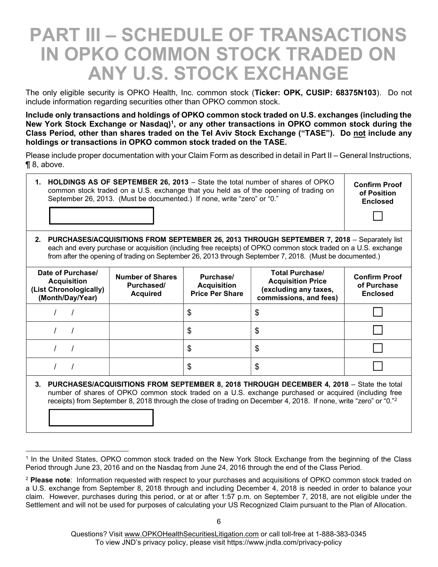## PART III – SCHEDULE OF TRANSACTIONS IN OPKO COMMON STOCK TRADED ON ANY U.S. STOCK EXCHANGE

The only eligible security is OPKO Health, Inc. common stock (Ticker: OPK, CUSIP: 68375N103). Do not include information regarding securities other than OPKO common stock.

Include only transactions and holdings of OPKO common stock traded on U.S. exchanges (including the New York Stock Exchange or Nasdaq)<sup>1</sup>, or any other transactions in OPKO common stock during the Class Period, other than shares traded on the Tel Aviv Stock Exchange ("TASE"). Do not include any holdings or transactions in OPKO common stock traded on the TASE.

Please include proper documentation with your Claim Form as described in detail in Part II – General Instructions, ¶ 8, above.

1. HOLDINGS AS OF SEPTEMBER 26, 2013 – State the total number of shares of OPKO common stock traded on a U.S. exchange that you held as of the opening of trading on September 26, 2013. (Must be documented.) If none, write "zero" or "0."

Confirm Proof of Position Enclosed

 $\Box$ 

2. PURCHASES/ACQUISITIONS FROM SEPTEMBER 26, 2013 THROUGH SEPTEMBER 7, 2018 - Separately list each and every purchase or acquisition (including free receipts) of OPKO common stock traded on a U.S. exchange from after the opening of trading on September 26, 2013 through September 7, 2018. (Must be documented.)

| Date of Purchase/<br><b>Acquisition</b><br>(List Chronologically)<br>(Month/Day/Year) | <b>Number of Shares</b><br>Purchased/<br><b>Acquired</b> | Purchase/<br><b>Acquisition</b><br><b>Price Per Share</b> | <b>Total Purchase/</b><br><b>Acquisition Price</b><br>(excluding any taxes,<br>commissions, and fees) | <b>Confirm Proof</b><br>of Purchase<br><b>Enclosed</b> |
|---------------------------------------------------------------------------------------|----------------------------------------------------------|-----------------------------------------------------------|-------------------------------------------------------------------------------------------------------|--------------------------------------------------------|
|                                                                                       |                                                          | \$                                                        | \$                                                                                                    |                                                        |
|                                                                                       |                                                          | \$                                                        | \$                                                                                                    |                                                        |
|                                                                                       |                                                          | \$                                                        | \$                                                                                                    |                                                        |
|                                                                                       |                                                          | \$                                                        | \$                                                                                                    |                                                        |

3. PURCHASES/ACQUISITIONS FROM SEPTEMBER 8, 2018 THROUGH DECEMBER 4, 2018 – State the total number of shares of OPKO common stock traded on a U.S. exchange purchased or acquired (including free receipts) from September 8, 2018 through the close of trading on December 4, 2018. If none, write "zero" or "0."<sup>2</sup>

<sup>1</sup> In the United States, OPKO common stock traded on the New York Stock Exchange from the beginning of the Class Period through June 23, 2016 and on the Nasdaq from June 24, 2016 through the end of the Class Period.

<sup>&</sup>lt;sup>2</sup> Please note: Information requested with respect to your purchases and acquisitions of OPKO common stock traded on a U.S. exchange from September 8, 2018 through and including December 4, 2018 is needed in order to balance your claim. However, purchases during this period, or at or after 1:57 p.m. on September 7, 2018, are not eligible under the Settlement and will not be used for purposes of calculating your US Recognized Claim pursuant to the Plan of Allocation.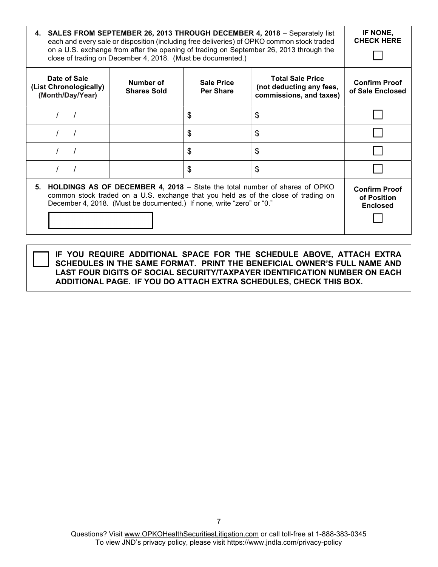| 4. SALES FROM SEPTEMBER 26, 2013 THROUGH DECEMBER 4, 2018 – Separately list<br>each and every sale or disposition (including free deliveries) of OPKO common stock traded<br>on a U.S. exchange from after the opening of trading on September 26, 2013 through the<br>close of trading on December 4, 2018. (Must be documented.) | IF NONE,<br><b>CHECK HERE</b>                                         |                                       |                                                                                                                                                                     |                                                        |
|------------------------------------------------------------------------------------------------------------------------------------------------------------------------------------------------------------------------------------------------------------------------------------------------------------------------------------|-----------------------------------------------------------------------|---------------------------------------|---------------------------------------------------------------------------------------------------------------------------------------------------------------------|--------------------------------------------------------|
| Date of Sale<br>(List Chronologically)<br>(Month/Day/Year)                                                                                                                                                                                                                                                                         | Number of<br><b>Shares Sold</b>                                       | <b>Sale Price</b><br><b>Per Share</b> | <b>Total Sale Price</b><br>(not deducting any fees,<br>commissions, and taxes)                                                                                      | <b>Confirm Proof</b><br>of Sale Enclosed               |
|                                                                                                                                                                                                                                                                                                                                    |                                                                       | \$                                    | \$                                                                                                                                                                  |                                                        |
|                                                                                                                                                                                                                                                                                                                                    |                                                                       | \$                                    | \$                                                                                                                                                                  |                                                        |
|                                                                                                                                                                                                                                                                                                                                    |                                                                       | \$                                    | \$                                                                                                                                                                  |                                                        |
|                                                                                                                                                                                                                                                                                                                                    |                                                                       | S                                     | \$                                                                                                                                                                  |                                                        |
|                                                                                                                                                                                                                                                                                                                                    | December 4, 2018. (Must be documented.) If none, write "zero" or "0." |                                       | 5. HOLDINGS AS OF DECEMBER 4, 2018 – State the total number of shares of OPKO<br>common stock traded on a U.S. exchange that you held as of the close of trading on | <b>Confirm Proof</b><br>of Position<br><b>Enclosed</b> |

IF YOU REQUIRE ADDITIONAL SPACE FOR THE SCHEDULE ABOVE, ATTACH EXTRA SCHEDULES IN THE SAME FORMAT. PRINT THE BENEFICIAL OWNER'S FULL NAME AND LAST FOUR DIGITS OF SOCIAL SECURITY/TAXPAYER IDENTIFICATION NUMBER ON EACH ADDITIONAL PAGE. IF YOU DO ATTACH EXTRA SCHEDULES, CHECK THIS BOX.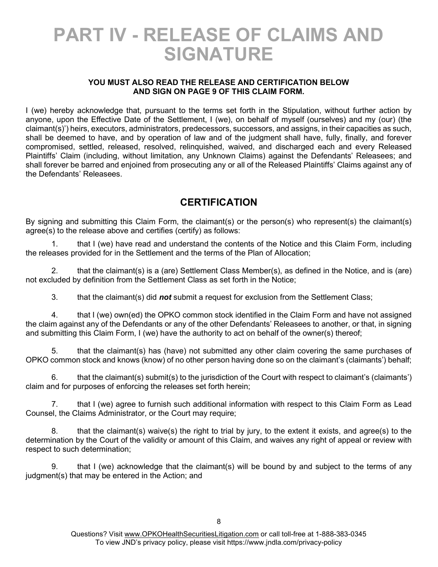## PART IV - RELEASE OF CLAIMS AND SIGNATURE

#### YOU MUST ALSO READ THE RELEASE AND CERTIFICATION BELOW AND SIGN ON PAGE 9 OF THIS CLAIM FORM.

I (we) hereby acknowledge that, pursuant to the terms set forth in the Stipulation, without further action by anyone, upon the Effective Date of the Settlement, I (we), on behalf of myself (ourselves) and my (our) (the claimant(s)') heirs, executors, administrators, predecessors, successors, and assigns, in their capacities as such, shall be deemed to have, and by operation of law and of the judgment shall have, fully, finally, and forever compromised, settled, released, resolved, relinquished, waived, and discharged each and every Released Plaintiffs' Claim (including, without limitation, any Unknown Claims) against the Defendants' Releasees; and shall forever be barred and enjoined from prosecuting any or all of the Released Plaintiffs' Claims against any of the Defendants' Releasees.

## **CERTIFICATION**

By signing and submitting this Claim Form, the claimant(s) or the person(s) who represent(s) the claimant(s) agree(s) to the release above and certifies (certify) as follows:

1. that I (we) have read and understand the contents of the Notice and this Claim Form, including the releases provided for in the Settlement and the terms of the Plan of Allocation;

2. that the claimant(s) is a (are) Settlement Class Member(s), as defined in the Notice, and is (are) not excluded by definition from the Settlement Class as set forth in the Notice;

3. that the claimant(s) did **not** submit a request for exclusion from the Settlement Class;

4. that I (we) own(ed) the OPKO common stock identified in the Claim Form and have not assigned the claim against any of the Defendants or any of the other Defendants' Releasees to another, or that, in signing and submitting this Claim Form, I (we) have the authority to act on behalf of the owner(s) thereof;

5. that the claimant(s) has (have) not submitted any other claim covering the same purchases of OPKO common stock and knows (know) of no other person having done so on the claimant's (claimants') behalf;

6. that the claimant(s) submit(s) to the jurisdiction of the Court with respect to claimant's (claimants') claim and for purposes of enforcing the releases set forth herein;

7. that I (we) agree to furnish such additional information with respect to this Claim Form as Lead Counsel, the Claims Administrator, or the Court may require;

8. that the claimant(s) waive(s) the right to trial by jury, to the extent it exists, and agree(s) to the determination by the Court of the validity or amount of this Claim, and waives any right of appeal or review with respect to such determination;

9. that I (we) acknowledge that the claimant(s) will be bound by and subject to the terms of any judgment(s) that may be entered in the Action; and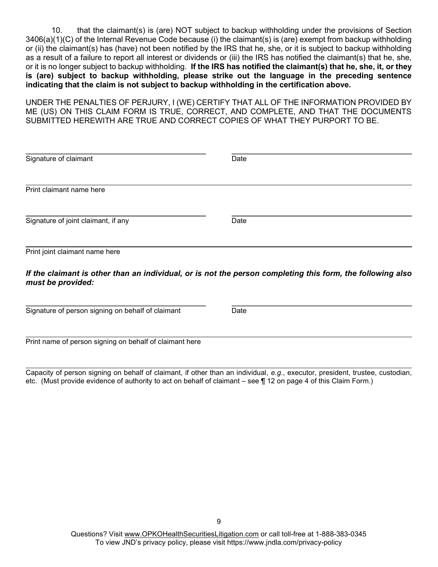10. that the claimant(s) is (are) NOT subject to backup withholding under the provisions of Section 3406(a)(1)(C) of the Internal Revenue Code because (i) the claimant(s) is (are) exempt from backup withholding or (ii) the claimant(s) has (have) not been notified by the IRS that he, she, or it is subject to backup withholding as a result of a failure to report all interest or dividends or (iii) the IRS has notified the claimant(s) that he, she, or it is no longer subject to backup withholding. If the IRS has notified the claimant(s) that he, she, it, or they is (are) subject to backup withholding, please strike out the language in the preceding sentence indicating that the claim is not subject to backup withholding in the certification above.

UNDER THE PENALTIES OF PERJURY, I (WE) CERTIFY THAT ALL OF THE INFORMATION PROVIDED BY ME (US) ON THIS CLAIM FORM IS TRUE, CORRECT, AND COMPLETE, AND THAT THE DOCUMENTS SUBMITTED HEREWITH ARE TRUE AND CORRECT COPIES OF WHAT THEY PURPORT TO BE.

| Signature of claimant               | Date |  |
|-------------------------------------|------|--|
| Print claimant name here            |      |  |
| Signature of joint claimant, if any | Date |  |
| Print joint claimant name here      |      |  |

If the claimant is other than an individual, or is not the person completing this form, the following also must be provided:

 $\overline{a}$ Signature of person signing on behalf of claimant Date

l

Print name of person signing on behalf of claimant here

Capacity of person signing on behalf of claimant, if other than an individual, e.g., executor, president, trustee, custodian, etc. (Must provide evidence of authority to act on behalf of claimant – see ¶ 12 on page 4 of this Claim Form.)